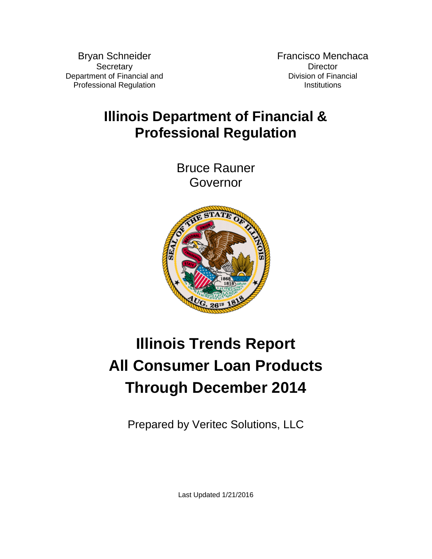Bryan Schneider **Secretary** Department of Financial and Professional Regulation

Francisco Menchaca **Director** Division of Financial **Institutions** 

## **Illinois Department of Financial & Professional Regulation**

Bruce Rauner Governor



# **Illinois Trends Report All Consumer Loan Products Through December 2014**

Prepared by Veritec Solutions, LLC

Last Updated 1/21/2016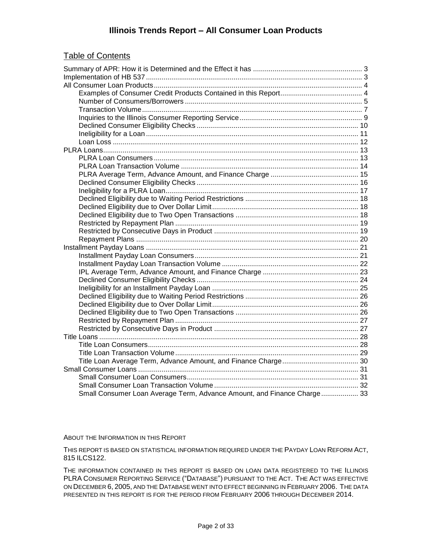#### **Illinois Trends Report – All Consumer Loan Products**

#### Table of Contents

| Small Consumer Loan Average Term, Advance Amount, and Finance Charge 33 |  |
|-------------------------------------------------------------------------|--|

#### ABOUT THE INFORMATION IN THIS REPORT

THIS REPORT IS BASED ON STATISTICAL INFORMATION REQUIRED UNDER THE PAYDAY LOAN REFORM ACT, 815 ILCS122.

THE INFORMATION CONTAINED IN THIS REPORT IS BASED ON LOAN DATA REGISTERED TO THE ILLINOIS PLRA CONSUMER REPORTING SERVICE ("DATABASE") PURSUANT TO THE ACT. THE ACT WAS EFFECTIVE ON DECEMBER 6, 2005, AND THE DATABASE WENT INTO EFFECT BEGINNING IN FEBRUARY 2006. THE DATA PRESENTED IN THIS REPORT IS FOR THE PERIOD FROM FEBRUARY 2006 THROUGH DECEMBER 2014.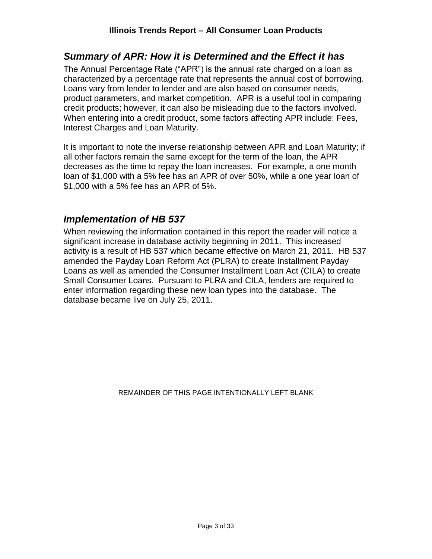#### <span id="page-2-0"></span>*Summary of APR: How it is Determined and the Effect it has*

The Annual Percentage Rate ("APR") is the annual rate charged on a loan as characterized by a percentage rate that represents the annual cost of borrowing. Loans vary from lender to lender and are also based on consumer needs, product parameters, and market competition. APR is a useful tool in comparing credit products; however, it can also be misleading due to the factors involved. When entering into a credit product, some factors affecting APR include: Fees, Interest Charges and Loan Maturity.

It is important to note the inverse relationship between APR and Loan Maturity; if all other factors remain the same except for the term of the loan, the APR decreases as the time to repay the loan increases. For example, a one month loan of \$1,000 with a 5% fee has an APR of over 50%, while a one year loan of \$1,000 with a 5% fee has an APR of 5%.

#### <span id="page-2-1"></span>*Implementation of HB 537*

When reviewing the information contained in this report the reader will notice a significant increase in database activity beginning in 2011. This increased activity is a result of HB 537 which became effective on March 21, 2011. HB 537 amended the Payday Loan Reform Act (PLRA) to create Installment Payday Loans as well as amended the Consumer Installment Loan Act (CILA) to create Small Consumer Loans. Pursuant to PLRA and CILA, lenders are required to enter information regarding these new loan types into the database. The database became live on July 25, 2011.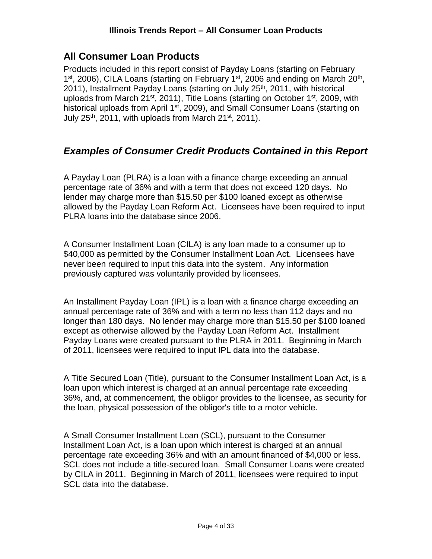## <span id="page-3-0"></span>**All Consumer Loan Products**

Products included in this report consist of Payday Loans (starting on February 1<sup>st</sup>, 2006), CILA Loans (starting on February 1<sup>st</sup>, 2006 and ending on March 20<sup>th</sup>, 2011), Installment Payday Loans (starting on July 25<sup>th</sup>, 2011, with historical uploads from March  $21^{st}$ , 2011), Title Loans (starting on October  $1^{st}$ , 2009, with historical uploads from April 1<sup>st</sup>, 2009), and Small Consumer Loans (starting on July  $25<sup>th</sup>$ , 2011, with uploads from March  $21<sup>st</sup>$ , 2011).

## <span id="page-3-1"></span>*Examples of Consumer Credit Products Contained in this Report*

A Payday Loan (PLRA) is a loan with a finance charge exceeding an annual percentage rate of 36% and with a term that does not exceed 120 days. No lender may charge more than \$15.50 per \$100 loaned except as otherwise allowed by the Payday Loan Reform Act. Licensees have been required to input PLRA loans into the database since 2006.

A Consumer Installment Loan (CILA) is any loan made to a consumer up to \$40,000 as permitted by the Consumer Installment Loan Act. Licensees have never been required to input this data into the system. Any information previously captured was voluntarily provided by licensees.

An Installment Payday Loan (IPL) is a loan with a finance charge exceeding an annual percentage rate of 36% and with a term no less than 112 days and no longer than 180 days. No lender may charge more than \$15.50 per \$100 loaned except as otherwise allowed by the Payday Loan Reform Act. Installment Payday Loans were created pursuant to the PLRA in 2011. Beginning in March of 2011, licensees were required to input IPL data into the database.

A Title Secured Loan (Title), pursuant to the Consumer Installment Loan Act, is a loan upon which interest is charged at an annual percentage rate exceeding 36%, and, at commencement, the obligor provides to the licensee, as security for the loan, physical possession of the obligor's title to a motor vehicle.

A Small Consumer Installment Loan (SCL), pursuant to the Consumer Installment Loan Act, is a loan upon which interest is charged at an annual percentage rate exceeding 36% and with an amount financed of \$4,000 or less. SCL does not include a title-secured loan. Small Consumer Loans were created by CILA in 2011. Beginning in March of 2011, licensees were required to input SCL data into the database.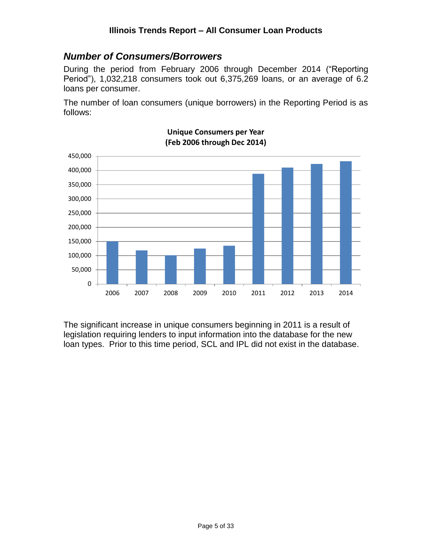#### <span id="page-4-0"></span>*Number of Consumers/Borrowers*

During the period from February 2006 through December 2014 ("Reporting Period"), 1,032,218 consumers took out 6,375,269 loans, or an average of 6.2 loans per consumer.

The number of loan consumers (unique borrowers) in the Reporting Period is as follows:



#### **Unique Consumers per Year (Feb 2006 through Dec 2014)**

The significant increase in unique consumers beginning in 2011 is a result of legislation requiring lenders to input information into the database for the new loan types. Prior to this time period, SCL and IPL did not exist in the database.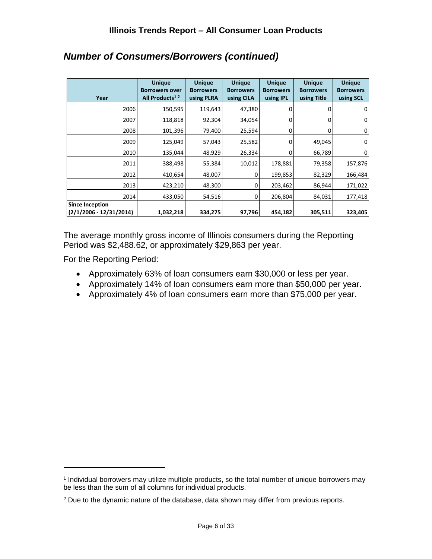| Year                                              | <b>Unique</b><br><b>Borrowers over</b><br>All Products <sup>12</sup> | <b>Unique</b><br><b>Borrowers</b><br>using PLRA | <b>Unique</b><br><b>Borrowers</b><br>using CILA | <b>Unique</b><br><b>Borrowers</b><br>using IPL | <b>Unique</b><br><b>Borrowers</b><br>using Title | <b>Unique</b><br><b>Borrowers</b><br>using SCL |
|---------------------------------------------------|----------------------------------------------------------------------|-------------------------------------------------|-------------------------------------------------|------------------------------------------------|--------------------------------------------------|------------------------------------------------|
| 2006                                              | 150,595                                                              | 119,643                                         | 47,380                                          | 0                                              |                                                  | 0                                              |
| 2007                                              | 118,818                                                              | 92,304                                          | 34,054                                          | 0                                              | 0                                                | 0                                              |
| 2008                                              | 101,396                                                              | 79,400                                          | 25,594                                          | 0                                              |                                                  | 0                                              |
| 2009                                              | 125,049                                                              | 57,043                                          | 25,582                                          | $\Omega$                                       | 49,045                                           | 0                                              |
| 2010                                              | 135,044                                                              | 48,929                                          | 26,334                                          | 0                                              | 66,789                                           | 0                                              |
| 2011                                              | 388,498                                                              | 55,384                                          | 10,012                                          | 178,881                                        | 79,358                                           | 157,876                                        |
| 2012                                              | 410,654                                                              | 48,007                                          | 0                                               | 199,853                                        | 82,329                                           | 166,484                                        |
| 2013                                              | 423,210                                                              | 48,300                                          | $\Omega$                                        | 203,462                                        | 86,944                                           | 171,022                                        |
| 2014                                              | 433,050                                                              | 54,516                                          | 0                                               | 206,804                                        | 84,031                                           | 177,418                                        |
| <b>Since Inception</b><br>(2/1/2006 - 12/31/2014) | 1,032,218                                                            | 334,275                                         | 97,796                                          | 454,182                                        | 305,511                                          | 323,405                                        |

## *Number of Consumers/Borrowers (continued)*

The average monthly gross income of Illinois consumers during the Reporting Period was \$2,488.62, or approximately \$29,863 per year.

For the Reporting Period:

- Approximately 63% of loan consumers earn \$30,000 or less per year.
- Approximately 14% of loan consumers earn more than \$50,000 per year.
- Approximately 4% of loan consumers earn more than \$75,000 per year.

<sup>1</sup> Individual borrowers may utilize multiple products, so the total number of unique borrowers may be less than the sum of all columns for individual products.

<sup>2</sup> Due to the dynamic nature of the database, data shown may differ from previous reports.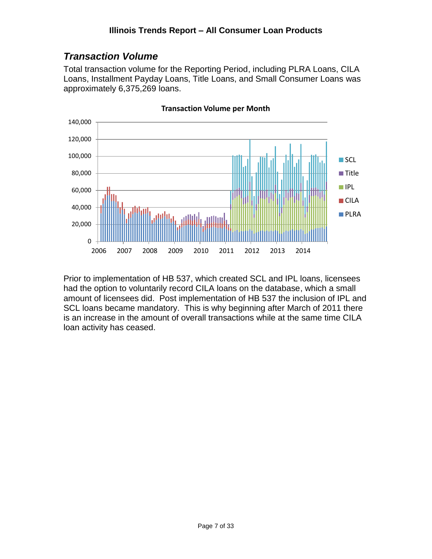## <span id="page-6-0"></span>*Transaction Volume*

Total transaction volume for the Reporting Period, including PLRA Loans, CILA Loans, Installment Payday Loans, Title Loans, and Small Consumer Loans was approximately 6,375,269 loans.



**Transaction Volume per Month**

Prior to implementation of HB 537, which created SCL and IPL loans, licensees had the option to voluntarily record CILA loans on the database, which a small amount of licensees did. Post implementation of HB 537 the inclusion of IPL and SCL loans became mandatory. This is why beginning after March of 2011 there is an increase in the amount of overall transactions while at the same time CILA loan activity has ceased.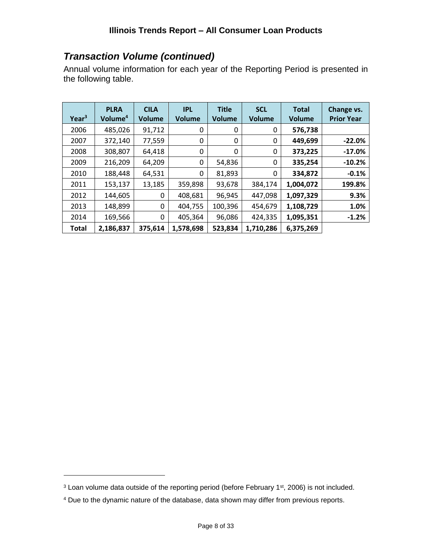## *Transaction Volume (continued)*

Annual volume information for each year of the Reporting Period is presented in the following table.

| Year <sup>3</sup> | <b>PLRA</b><br>Volume <sup>4</sup> | <b>CILA</b><br><b>Volume</b> | <b>IPL</b><br>Volume | <b>Title</b><br><b>Volume</b> | <b>SCL</b><br><b>Volume</b> | <b>Total</b><br><b>Volume</b> | Change vs.<br><b>Prior Year</b> |
|-------------------|------------------------------------|------------------------------|----------------------|-------------------------------|-----------------------------|-------------------------------|---------------------------------|
| 2006              | 485,026                            | 91,712                       | 0                    | 0                             | 0                           | 576,738                       |                                 |
| 2007              | 372,140                            | 77,559                       | 0                    | 0                             | 0                           | 449,699                       | $-22.0%$                        |
| 2008              | 308,807                            | 64,418                       | 0                    | 0                             | 0                           | 373,225                       | $-17.0%$                        |
| 2009              | 216,209                            | 64,209                       | 0                    | 54,836                        | 0                           | 335,254                       | $-10.2%$                        |
| 2010              | 188,448                            | 64,531                       | 0                    | 81,893                        | 0                           | 334,872                       | $-0.1%$                         |
| 2011              | 153,137                            | 13,185                       | 359,898              | 93,678                        | 384,174                     | 1,004,072                     | 199.8%                          |
| 2012              | 144,605                            | 0                            | 408,681              | 96,945                        | 447,098                     | 1,097,329                     | 9.3%                            |
| 2013              | 148,899                            | 0                            | 404,755              | 100,396                       | 454,679                     | 1,108,729                     | 1.0%                            |
| 2014              | 169,566                            | 0                            | 405,364              | 96,086                        | 424,335                     | 1,095,351                     | $-1.2%$                         |
| Total             | 2,186,837                          | 375,614                      | 1,578,698            | 523,834                       | 1,710,286                   | 6,375,269                     |                                 |

<sup>&</sup>lt;sup>3</sup> Loan volume data outside of the reporting period (before February 1<sup>st</sup>, 2006) is not included.

<sup>4</sup> Due to the dynamic nature of the database, data shown may differ from previous reports.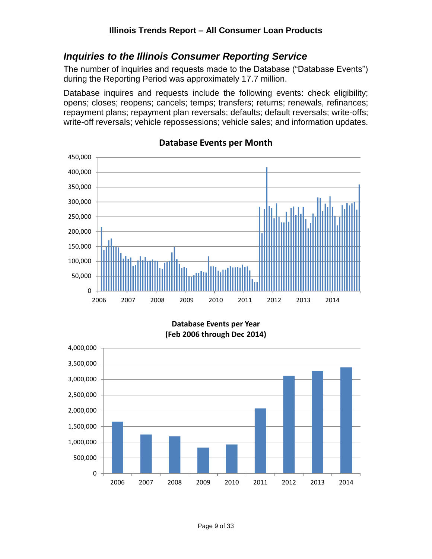#### <span id="page-8-0"></span>*Inquiries to the Illinois Consumer Reporting Service*

The number of inquiries and requests made to the Database ("Database Events") during the Reporting Period was approximately 17.7 million.

Database inquires and requests include the following events: check eligibility; opens; closes; reopens; cancels; temps; transfers; returns; renewals, refinances; repayment plans; repayment plan reversals; defaults; default reversals; write-offs; write-off reversals; vehicle repossessions; vehicle sales; and information updates.



#### **Database Events per Month**

**Database Events per Year (Feb 2006 through Dec 2014)**

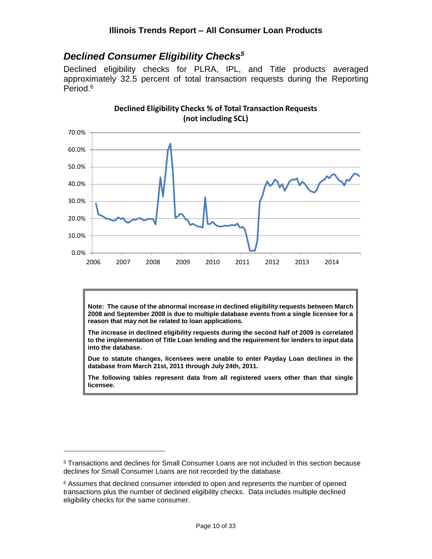#### <span id="page-9-0"></span>*Declined Consumer Eligibility Checks<sup>5</sup>*

Declined eligibility checks for PLRA, IPL, and Title products averaged approximately 32.5 percent of total transaction requests during the Reporting Period. 6



**Note: The cause of the abnormal increase in declined eligibility requests between March 2008 and September 2008 is due to multiple database events from a single licensee for a reason that may not be related to loan applications.**

**The increase in declined eligibility requests during the second half of 2009 is correlated to the implementation of Title Loan lending and the requirement for lenders to input data into the database.**

**Due to statute changes, licensees were unable to enter Payday Loan declines in the database from March 21st, 2011 through July 24th, 2011.**

**The following tables represent data from all registered users other than that single licensee.**

<sup>5</sup> Transactions and declines for Small Consumer Loans are not included in this section because declines for Small Consumer Loans are not recorded by the database.

<sup>&</sup>lt;sup>6</sup> Assumes that declined consumer intended to open and represents the number of opened transactions plus the number of declined eligibility checks. Data includes multiple declined eligibility checks for the same consumer.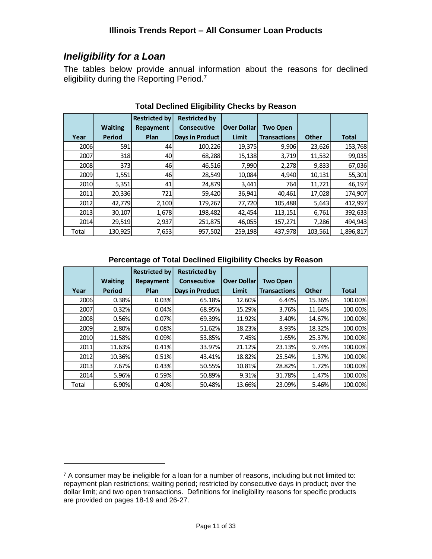## <span id="page-10-0"></span>*Ineligibility for a Loan*

 $\overline{a}$ 

The tables below provide annual information about the reasons for declined eligibility during the Reporting Period.<sup>7</sup>

|       |                | <b>Restricted by</b> | <b>Restricted by</b>   |                    |                     |              |              |
|-------|----------------|----------------------|------------------------|--------------------|---------------------|--------------|--------------|
|       | <b>Waiting</b> | Repayment            | <b>Consecutive</b>     | <b>Over Dollar</b> | <b>Two Open</b>     |              |              |
| Year  | Period         | Plan                 | <b>Days in Product</b> | <b>Limit</b>       | <b>Transactions</b> | <b>Other</b> | <b>Total</b> |
| 2006  | 591            | 44                   | 100,226                | 19,375             | 9,906               | 23,626       | 153,768      |
| 2007  | <b>318</b>     | 40                   | 68,288                 | 15,138             | 3,719               | 11,532       | 99,035       |
| 2008  | 373            | 46                   | 46,516                 | 7,990              | 2,278               | 9,833        | 67,036       |
| 2009  | 1,551          | 46                   | 28,549                 | 10,084             | 4,940               | 10,131       | 55,301       |
| 2010  | 5,351          | 41                   | 24,879                 | 3,441              | 764                 | 11,721       | 46,197       |
| 2011  | 20,336         | 721                  | 59,420                 | 36,941             | 40,461              | 17,028       | 174,907      |
| 2012  | 42,779         | 2,100                | 179,267                | 77,720             | 105,488             | 5,643        | 412,997      |
| 2013  | 30,107         | 1,678                | 198,482                | 42,454             | 113,151             | 6,761        | 392,633      |
| 2014  | 29,519         | 2,937                | 251,875                | 46,055             | 157,271             | 7,286        | 494,943      |
| Total | 130,925        | 7,653                | 957,502                | 259,198            | 437,978             | 103,561      | 1,896,817    |

#### **Total Declined Eligibility Checks by Reason**

#### **Percentage of Total Declined Eligibility Checks by Reason**

|       |                | <b>Restricted by</b> | <b>Restricted by</b> |                    |                     |              |         |
|-------|----------------|----------------------|----------------------|--------------------|---------------------|--------------|---------|
|       | <b>Waiting</b> | Repayment            | <b>Consecutive</b>   | <b>Over Dollar</b> | <b>Two Open</b>     |              |         |
| Year  | <b>Period</b>  | Plan                 | Days in Product      | Limit              | <b>Transactions</b> | <b>Other</b> | Total   |
| 2006  | 0.38%          | 0.03%                | 65.18%               | 12.60%             | 6.44%               | 15.36%       | 100.00% |
| 2007  | 0.32%          | 0.04%                | 68.95%               | 15.29%             | 3.76%               | 11.64%       | 100.00% |
| 2008  | 0.56%          | 0.07%                | 69.39%               | 11.92%             | 3.40%               | 14.67%       | 100.00% |
| 2009  | 2.80%          | 0.08%                | 51.62%               | 18.23%             | 8.93%               | 18.32%       | 100.00% |
| 2010  | 11.58%         | 0.09%                | 53.85%               | 7.45%              | 1.65%               | 25.37%       | 100.00% |
| 2011  | 11.63%         | 0.41%                | 33.97%               | 21.12%             | 23.13%              | 9.74%        | 100.00% |
| 2012  | 10.36%         | 0.51%                | 43.41%               | 18.82%             | 25.54%              | 1.37%        | 100.00% |
| 2013  | 7.67%          | 0.43%                | 50.55%               | 10.81%             | 28.82%              | 1.72%        | 100.00% |
| 2014  | 5.96%          | 0.59%                | 50.89%               | 9.31%              | 31.78%              | 1.47%        | 100.00% |
| Total | 6.90%          | 0.40%                | 50.48%               | 13.66%             | 23.09%              | 5.46%        | 100.00% |

<sup>&</sup>lt;sup>7</sup> A consumer may be ineligible for a loan for a number of reasons, including but not limited to: repayment plan restrictions; waiting period; restricted by consecutive days in product; over the dollar limit; and two open transactions. Definitions for ineligibility reasons for specific products are provided on pages 18-19 and 26-27.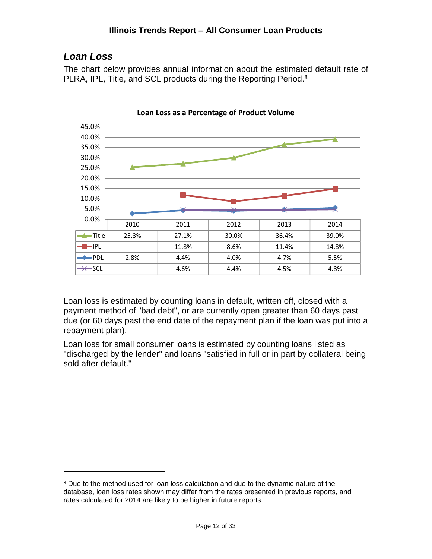## <span id="page-11-0"></span>*Loan Loss*

 $\overline{a}$ 

The chart below provides annual information about the estimated default rate of PLRA, IPL, Title, and SCL products during the Reporting Period.<sup>8</sup>



**Loan Loss as a Percentage of Product Volume**

Loan loss is estimated by counting loans in default, written off, closed with a payment method of "bad debt", or are currently open greater than 60 days past due (or 60 days past the end date of the repayment plan if the loan was put into a repayment plan).

Loan loss for small consumer loans is estimated by counting loans listed as "discharged by the lender" and loans "satisfied in full or in part by collateral being sold after default."

<sup>&</sup>lt;sup>8</sup> Due to the method used for loan loss calculation and due to the dynamic nature of the database, loan loss rates shown may differ from the rates presented in previous reports, and rates calculated for 2014 are likely to be higher in future reports.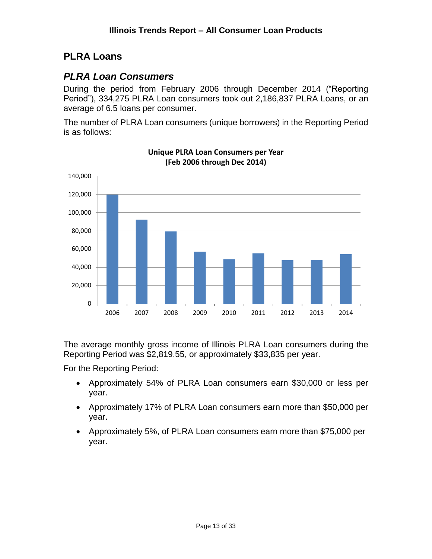## <span id="page-12-0"></span>**PLRA Loans**

#### <span id="page-12-1"></span>*PLRA Loan Consumers*

During the period from February 2006 through December 2014 ("Reporting Period"), 334,275 PLRA Loan consumers took out 2,186,837 PLRA Loans, or an average of 6.5 loans per consumer.

The number of PLRA Loan consumers (unique borrowers) in the Reporting Period is as follows:



**Unique PLRA Loan Consumers per Year (Feb 2006 through Dec 2014)**

The average monthly gross income of Illinois PLRA Loan consumers during the Reporting Period was \$2,819.55, or approximately \$33,835 per year.

For the Reporting Period:

- Approximately 54% of PLRA Loan consumers earn \$30,000 or less per year.
- Approximately 17% of PLRA Loan consumers earn more than \$50,000 per year.
- Approximately 5%, of PLRA Loan consumers earn more than \$75,000 per year.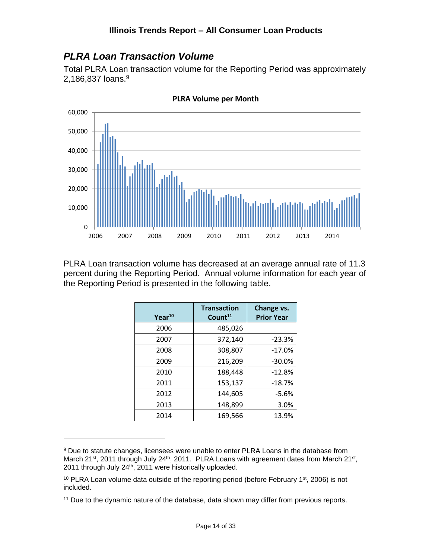## <span id="page-13-0"></span>*PLRA Loan Transaction Volume*

Total PLRA Loan transaction volume for the Reporting Period was approximately 2,186,837 loans.<sup>9</sup>



**PLRA Volume per Month**

PLRA Loan transaction volume has decreased at an average annual rate of 11.3 percent during the Reporting Period. Annual volume information for each year of the Reporting Period is presented in the following table.

| Year <sup>10</sup> | <b>Transaction</b><br>Count <sup>11</sup> | Change vs.<br><b>Prior Year</b> |
|--------------------|-------------------------------------------|---------------------------------|
| 2006               | 485,026                                   |                                 |
| 2007               | 372,140                                   | $-23.3%$                        |
| 2008               | 308,807                                   | $-17.0%$                        |
| 2009               | 216,209                                   | $-30.0%$                        |
| 2010               | 188,448                                   | $-12.8%$                        |
| 2011               | 153,137                                   | $-18.7%$                        |
| 2012               | 144,605                                   | $-5.6%$                         |
| 2013               | 148,899                                   | 3.0%                            |
| 2014               | 169,566                                   | 13.9%                           |

<sup>&</sup>lt;sup>9</sup> Due to statute changes, licensees were unable to enter PLRA Loans in the database from March 21<sup>st</sup>, 2011 through July 24<sup>th</sup>, 2011. PLRA Loans with agreement dates from March 21<sup>st</sup>, 2011 through July 24<sup>th</sup>, 2011 were historically uploaded.

 $10$  PLRA Loan volume data outside of the reporting period (before February 1st, 2006) is not included.

<sup>&</sup>lt;sup>11</sup> Due to the dynamic nature of the database, data shown may differ from previous reports.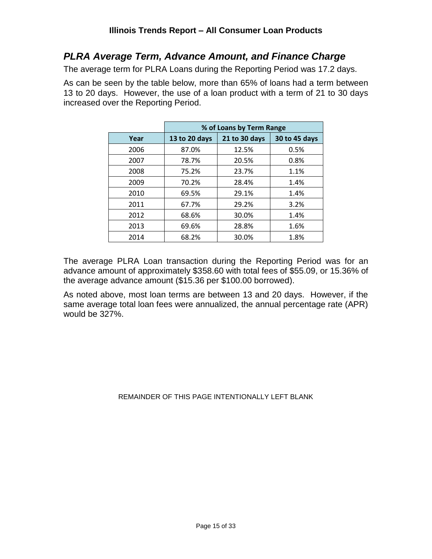#### <span id="page-14-0"></span>*PLRA Average Term, Advance Amount, and Finance Charge*

The average term for PLRA Loans during the Reporting Period was 17.2 days.

As can be seen by the table below, more than 65% of loans had a term between 13 to 20 days. However, the use of a loan product with a term of 21 to 30 days increased over the Reporting Period.

|      | % of Loans by Term Range |               |               |  |  |  |  |
|------|--------------------------|---------------|---------------|--|--|--|--|
| Year | 13 to 20 days            | 21 to 30 days | 30 to 45 days |  |  |  |  |
| 2006 | 87.0%                    | 12.5%         | 0.5%          |  |  |  |  |
| 2007 | 78.7%                    | 20.5%         | 0.8%          |  |  |  |  |
| 2008 | 75.2%                    | 23.7%         | 1.1%          |  |  |  |  |
| 2009 | 70.2%                    | 28.4%         | 1.4%          |  |  |  |  |
| 2010 | 69.5%                    | 29.1%         | 1.4%          |  |  |  |  |
| 2011 | 67.7%                    | 29.2%         | 3.2%          |  |  |  |  |
| 2012 | 68.6%                    | 30.0%         | 1.4%          |  |  |  |  |
| 2013 | 69.6%                    | 28.8%         | 1.6%          |  |  |  |  |
| 2014 | 68.2%                    | 30.0%         | 1.8%          |  |  |  |  |

The average PLRA Loan transaction during the Reporting Period was for an advance amount of approximately \$358.60 with total fees of \$55.09, or 15.36% of the average advance amount (\$15.36 per \$100.00 borrowed).

As noted above, most loan terms are between 13 and 20 days. However, if the same average total loan fees were annualized, the annual percentage rate (APR) would be 327%.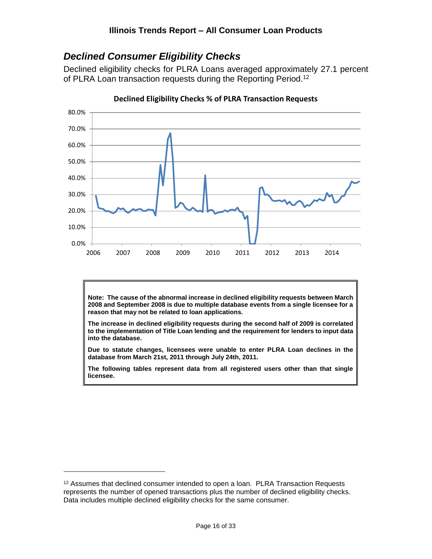#### <span id="page-15-0"></span>*Declined Consumer Eligibility Checks*

Declined eligibility checks for PLRA Loans averaged approximately 27.1 percent of PLRA Loan transaction requests during the Reporting Period.<sup>12</sup>



**Declined Eligibility Checks % of PLRA Transaction Requests**

**Note: The cause of the abnormal increase in declined eligibility requests between March 2008 and September 2008 is due to multiple database events from a single licensee for a reason that may not be related to loan applications.**

**The increase in declined eligibility requests during the second half of 2009 is correlated to the implementation of Title Loan lending and the requirement for lenders to input data into the database.**

**Due to statute changes, licensees were unable to enter PLRA Loan declines in the database from March 21st, 2011 through July 24th, 2011.**

**The following tables represent data from all registered users other than that single licensee.**

<sup>&</sup>lt;sup>12</sup> Assumes that declined consumer intended to open a loan. PLRA Transaction Requests represents the number of opened transactions plus the number of declined eligibility checks. Data includes multiple declined eligibility checks for the same consumer.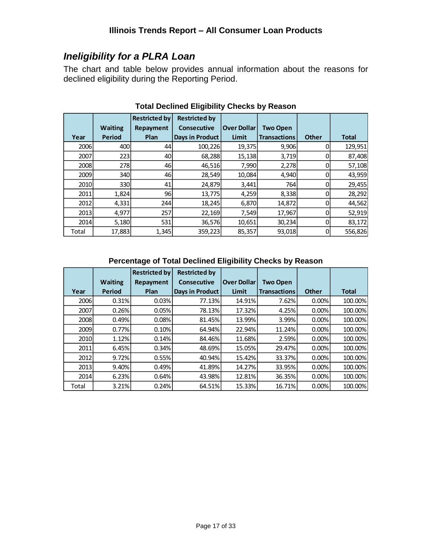## <span id="page-16-0"></span>*Ineligibility for a PLRA Loan*

The chart and table below provides annual information about the reasons for declined eligibility during the Reporting Period.

|       |                | <b>Restricted by</b> | <b>Restricted by</b>   |                    |                     |              |              |
|-------|----------------|----------------------|------------------------|--------------------|---------------------|--------------|--------------|
|       | <b>Waiting</b> | Repayment            | <b>Consecutive</b>     | <b>Over Dollar</b> | <b>Two Open</b>     |              |              |
| Year  | Period         | Plan                 | <b>Days in Product</b> | Limit              | <b>Transactions</b> | <b>Other</b> | <b>Total</b> |
| 2006  | 400            | 44                   | 100,226                | 19,375             | 9,906               | 0            | 129,951      |
| 2007  | 223            | 40                   | 68,288                 | 15,138             | 3,719               |              | 87,408       |
| 2008  | <b>278</b>     | 46                   | 46,516                 | 7,990              | 2,278               | 0            | 57,108       |
| 2009  | 340            | 46                   | 28,549                 | 10,084             | 4,940               | 0            | 43,959       |
| 2010  | 330l           | 41                   | 24,879                 | 3,441              | 764                 | 0            | 29,455       |
| 2011  | 1,824          | 96                   | 13,775                 | 4,259              | 8,338               | 0            | 28,292       |
| 2012  | 4,331          | 244                  | 18,245                 | 6,870              | 14,872              | 0            | 44,562       |
| 2013  | 4,977          | 257                  | 22,169                 | 7,549              | 17,967              | 0            | 52,919       |
| 2014  | 5,180          | 531                  | 36,576                 | 10,651             | 30,234              | 0            | 83,172       |
| Total | 17,883         | 1,345                | 359,223                | 85,357             | 93,018              | 0            | 556,826      |

#### **Total Declined Eligibility Checks by Reason**

#### **Percentage of Total Declined Eligibility Checks by Reason**

|             |                | <b>Restricted by</b> | <b>Restricted by</b>   |                    |                     |              |              |
|-------------|----------------|----------------------|------------------------|--------------------|---------------------|--------------|--------------|
|             | <b>Waiting</b> | Repayment            | <b>Consecutive</b>     | <b>Over Dollar</b> | <b>Two Open</b>     |              |              |
| Year        | Period         | Plan                 | <b>Days in Product</b> | Limit              | <b>Transactions</b> | <b>Other</b> | <b>Total</b> |
| <b>2006</b> | 0.31%          | 0.03%                | 77.13%                 | 14.91%             | 7.62%               | 0.00%        | 100.00%      |
| 2007        | 0.26%          | 0.05%                | 78.13%                 | 17.32%             | 4.25%               | 0.00%        | 100.00%      |
| <b>2008</b> | 0.49%          | 0.08%                | 81.45%                 | 13.99%             | 3.99%               | 0.00%        | 100.00%      |
| 2009        | 0.77%          | 0.10%                | 64.94%                 | 22.94%             | 11.24%              | 0.00%        | 100.00%      |
| <b>2010</b> | 1.12%          | 0.14%                | 84.46%                 | 11.68%             | 2.59%               | 0.00%        | 100.00%      |
| 2011        | 6.45%          | 0.34%                | 48.69%                 | 15.05%             | 29.47%              | 0.00%        | 100.00%      |
| 2012        | 9.72%          | 0.55%                | 40.94%                 | 15.42%             | 33.37%              | 0.00%        | 100.00%      |
| 2013        | $9.40\%$       | 0.49%                | 41.89%                 | 14.27%             | 33.95%              | 0.00%        | 100.00%      |
| <b>2014</b> | 6.23%          | 0.64%                | 43.98%                 | 12.81%             | 36.35%              | 0.00%        | 100.00%      |
| Total       | 3.21%          | 0.24%                | 64.51%                 | 15.33%             | 16.71%              | 0.00%        | 100.00%      |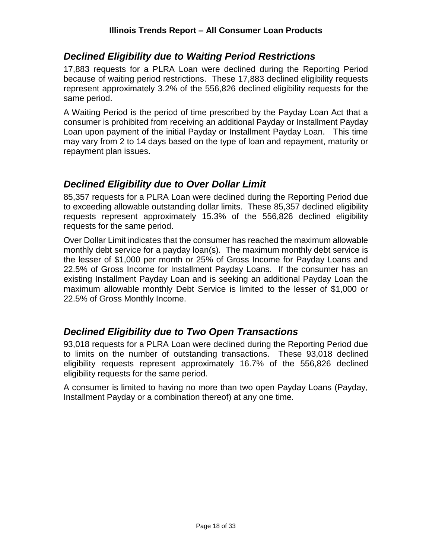#### <span id="page-17-0"></span>*Declined Eligibility due to Waiting Period Restrictions*

17,883 requests for a PLRA Loan were declined during the Reporting Period because of waiting period restrictions. These 17,883 declined eligibility requests represent approximately 3.2% of the 556,826 declined eligibility requests for the same period.

A Waiting Period is the period of time prescribed by the Payday Loan Act that a consumer is prohibited from receiving an additional Payday or Installment Payday Loan upon payment of the initial Payday or Installment Payday Loan. This time may vary from 2 to 14 days based on the type of loan and repayment, maturity or repayment plan issues.

#### <span id="page-17-1"></span>*Declined Eligibility due to Over Dollar Limit*

85,357 requests for a PLRA Loan were declined during the Reporting Period due to exceeding allowable outstanding dollar limits. These 85,357 declined eligibility requests represent approximately 15.3% of the 556,826 declined eligibility requests for the same period.

Over Dollar Limit indicates that the consumer has reached the maximum allowable monthly debt service for a payday loan(s). The maximum monthly debt service is the lesser of \$1,000 per month or 25% of Gross Income for Payday Loans and 22.5% of Gross Income for Installment Payday Loans. If the consumer has an existing Installment Payday Loan and is seeking an additional Payday Loan the maximum allowable monthly Debt Service is limited to the lesser of \$1,000 or 22.5% of Gross Monthly Income.

#### <span id="page-17-2"></span>*Declined Eligibility due to Two Open Transactions*

93,018 requests for a PLRA Loan were declined during the Reporting Period due to limits on the number of outstanding transactions. These 93,018 declined eligibility requests represent approximately 16.7% of the 556,826 declined eligibility requests for the same period.

A consumer is limited to having no more than two open Payday Loans (Payday, Installment Payday or a combination thereof) at any one time.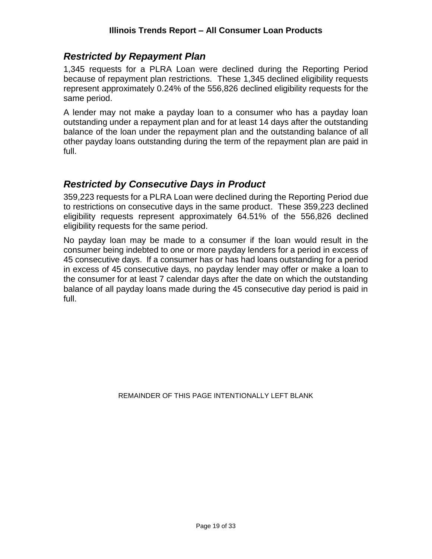#### <span id="page-18-0"></span>*Restricted by Repayment Plan*

1,345 requests for a PLRA Loan were declined during the Reporting Period because of repayment plan restrictions. These 1,345 declined eligibility requests represent approximately 0.24% of the 556,826 declined eligibility requests for the same period.

A lender may not make a payday loan to a consumer who has a payday loan outstanding under a repayment plan and for at least 14 days after the outstanding balance of the loan under the repayment plan and the outstanding balance of all other payday loans outstanding during the term of the repayment plan are paid in full.

#### <span id="page-18-1"></span>*Restricted by Consecutive Days in Product*

359,223 requests for a PLRA Loan were declined during the Reporting Period due to restrictions on consecutive days in the same product. These 359,223 declined eligibility requests represent approximately 64.51% of the 556,826 declined eligibility requests for the same period.

No payday loan may be made to a consumer if the loan would result in the consumer being indebted to one or more payday lenders for a period in excess of 45 consecutive days. If a consumer has or has had loans outstanding for a period in excess of 45 consecutive days, no payday lender may offer or make a loan to the consumer for at least 7 calendar days after the date on which the outstanding balance of all payday loans made during the 45 consecutive day period is paid in full.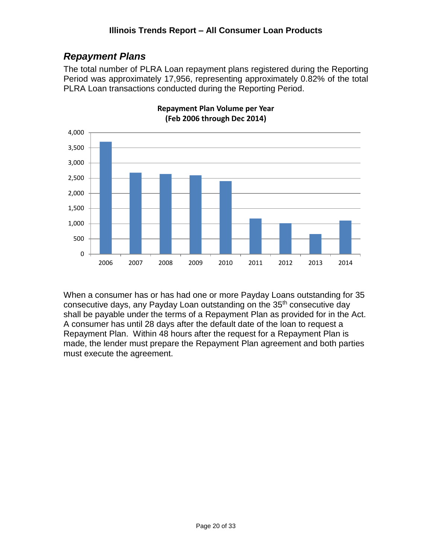## <span id="page-19-0"></span>*Repayment Plans*

The total number of PLRA Loan repayment plans registered during the Reporting Period was approximately 17,956, representing approximately 0.82% of the total PLRA Loan transactions conducted during the Reporting Period.



**Repayment Plan Volume per Year (Feb 2006 through Dec 2014)**

When a consumer has or has had one or more Payday Loans outstanding for 35 consecutive days, any Payday Loan outstanding on the 35<sup>th</sup> consecutive day shall be payable under the terms of a Repayment Plan as provided for in the Act. A consumer has until 28 days after the default date of the loan to request a Repayment Plan. Within 48 hours after the request for a Repayment Plan is made, the lender must prepare the Repayment Plan agreement and both parties must execute the agreement.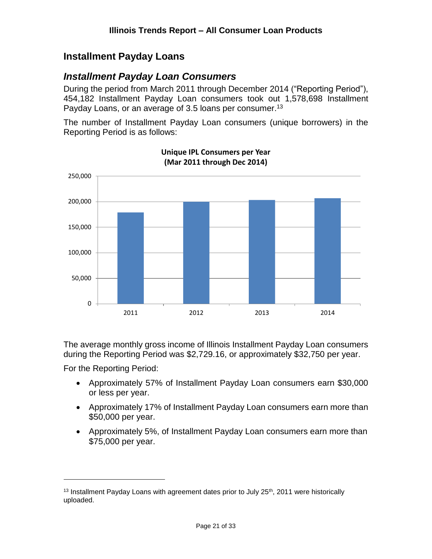## <span id="page-20-0"></span>**Installment Payday Loans**

#### <span id="page-20-1"></span>*Installment Payday Loan Consumers*

During the period from March 2011 through December 2014 ("Reporting Period"), 454,182 Installment Payday Loan consumers took out 1,578,698 Installment Payday Loans, or an average of 3.5 loans per consumer.<sup>13</sup>

The number of Installment Payday Loan consumers (unique borrowers) in the Reporting Period is as follows:



**Unique IPL Consumers per Year (Mar 2011 through Dec 2014)**

The average monthly gross income of Illinois Installment Payday Loan consumers during the Reporting Period was \$2,729.16, or approximately \$32,750 per year.

For the Reporting Period:

- Approximately 57% of Installment Payday Loan consumers earn \$30,000 or less per year.
- Approximately 17% of Installment Payday Loan consumers earn more than \$50,000 per year.
- Approximately 5%, of Installment Payday Loan consumers earn more than \$75,000 per year.

 $13$  Installment Payday Loans with agreement dates prior to July 25<sup>th</sup>, 2011 were historically uploaded.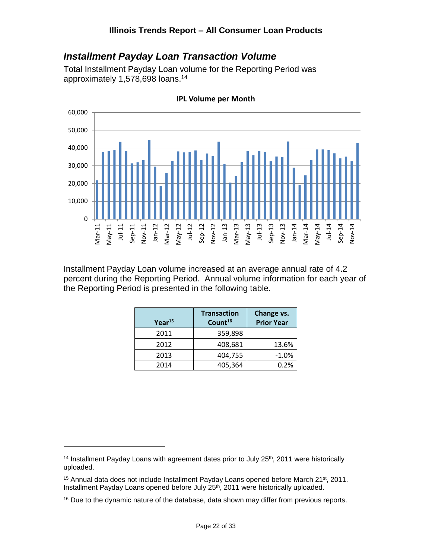#### <span id="page-21-0"></span>*Installment Payday Loan Transaction Volume*

Total Installment Payday Loan volume for the Reporting Period was approximately 1,578,698 loans.<sup>14</sup>



**IPL Volume per Month**

Installment Payday Loan volume increased at an average annual rate of 4.2 percent during the Reporting Period. Annual volume information for each year of the Reporting Period is presented in the following table.

| Year <sup>15</sup> | <b>Transaction</b><br>Count <sup>16</sup> | Change vs.<br><b>Prior Year</b> |
|--------------------|-------------------------------------------|---------------------------------|
| 2011               | 359,898                                   |                                 |
| 2012               | 408,681                                   | 13.6%                           |
| 2013               | 404,755                                   | $-1.0%$                         |
| 2014               | 405,364                                   | 0.2%                            |
|                    |                                           |                                 |

<sup>&</sup>lt;sup>14</sup> Installment Payday Loans with agreement dates prior to July  $25<sup>th</sup>$ , 2011 were historically uploaded.

 $15$  Annual data does not include Installment Payday Loans opened before March 21 $st$ , 2011. Installment Payday Loans opened before July 25th, 2011 were historically uploaded.

<sup>&</sup>lt;sup>16</sup> Due to the dynamic nature of the database, data shown may differ from previous reports.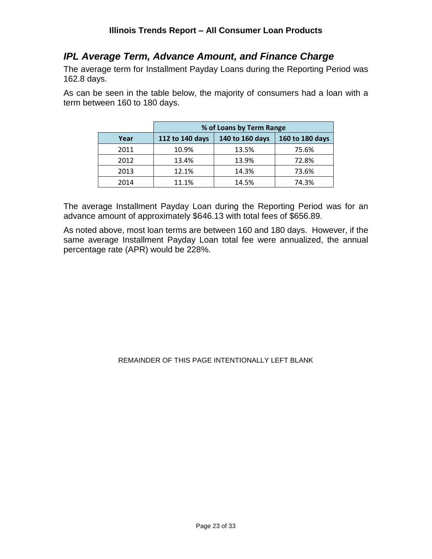#### <span id="page-22-0"></span>*IPL Average Term, Advance Amount, and Finance Charge*

The average term for Installment Payday Loans during the Reporting Period was 162.8 days.

As can be seen in the table below, the majority of consumers had a loan with a term between 160 to 180 days.

|      | % of Loans by Term Range |                 |                 |  |  |  |  |
|------|--------------------------|-----------------|-----------------|--|--|--|--|
| Year | 112 to 140 days          | 140 to 160 days | 160 to 180 days |  |  |  |  |
| 2011 | 10.9%                    | 13.5%           | 75.6%           |  |  |  |  |
| 2012 | 13.4%                    | 13.9%           | 72.8%           |  |  |  |  |
| 2013 | 12.1%                    | 14.3%           | 73.6%           |  |  |  |  |
| 2014 | 11.1%                    | 14.5%           | 74.3%           |  |  |  |  |

The average Installment Payday Loan during the Reporting Period was for an advance amount of approximately \$646.13 with total fees of \$656.89.

As noted above, most loan terms are between 160 and 180 days. However, if the same average Installment Payday Loan total fee were annualized, the annual percentage rate (APR) would be 228%.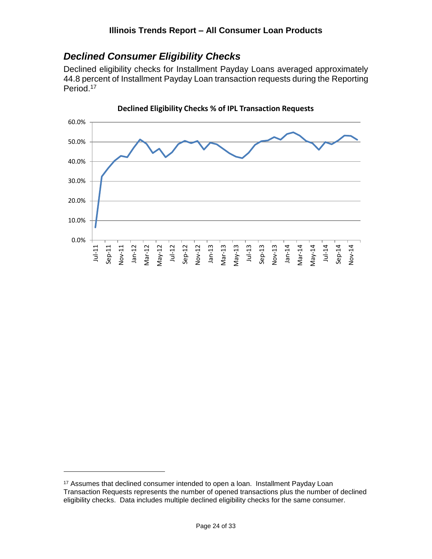#### <span id="page-23-0"></span>*Declined Consumer Eligibility Checks*

Declined eligibility checks for Installment Payday Loans averaged approximately 44.8 percent of Installment Payday Loan transaction requests during the Reporting Period. 17



**Declined Eligibility Checks % of IPL Transaction Requests**

<sup>&</sup>lt;sup>17</sup> Assumes that declined consumer intended to open a loan. Installment Payday Loan Transaction Requests represents the number of opened transactions plus the number of declined eligibility checks. Data includes multiple declined eligibility checks for the same consumer.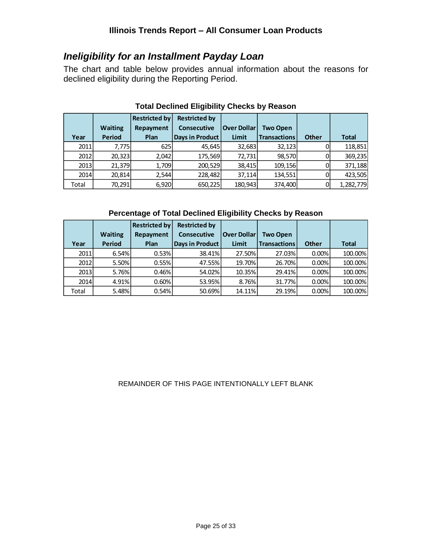#### <span id="page-24-0"></span>*Ineligibility for an Installment Payday Loan*

The chart and table below provides annual information about the reasons for declined eligibility during the Reporting Period.

|             |                | <b>Restricted by</b> | <b>Restricted by</b>   |                    |                     |              |              |
|-------------|----------------|----------------------|------------------------|--------------------|---------------------|--------------|--------------|
|             | <b>Waiting</b> | Repayment            | <b>Consecutive</b>     | <b>Over Dollar</b> | <b>Two Open</b>     |              |              |
| Year        | <b>Period</b>  | Plan                 | <b>Days in Product</b> | Limit              | <b>Transactions</b> | <b>Other</b> | <b>Total</b> |
| 2011        | 7,775          | 625                  | 45,645                 | 32,683             | 32,123              |              | 118,851      |
| 2012        | 20,323         | 2,042                | 175,569                | 72,731             | 98,570              |              | 369,235      |
| <b>2013</b> | 21,379         | 1,709                | 200,529                | 38,415             | 109,156             |              | 371,188      |
| <b>2014</b> | 20,814         | 2,544                | 228,482                | 37,114             | 134,551             |              | 423,505      |
| Total       | 70,291         | 6,920                | 650,225                | 180,943            | 374,400             |              | 1,282,779    |

#### **Total Declined Eligibility Checks by Reason**

#### **Percentage of Total Declined Eligibility Checks by Reason**

|             |                | <b>Restricted by</b> | <b>Restricted by</b>   |                    |                     |              |              |
|-------------|----------------|----------------------|------------------------|--------------------|---------------------|--------------|--------------|
|             | <b>Waiting</b> | Repayment            | <b>Consecutive</b>     | <b>Over Dollar</b> | <b>Two Open</b>     |              |              |
| Year        | <b>Period</b>  | Plan                 | <b>Days in Product</b> | Limit              | <b>Transactions</b> | <b>Other</b> | <b>Total</b> |
| 2011        | 6.54%          | 0.53%                | 38.41%                 | 27.50%             | 27.03%              | 0.00%        | 100.00%      |
| 2012        | 5.50%          | 0.55%                | 47.55%                 | 19.70%             | 26.70%              | 0.00%        | 100.00%      |
| <b>2013</b> | 5.76%          | 0.46%                | 54.02%                 | 10.35%             | 29.41%              | 0.00%        | 100.00%      |
| <b>2014</b> | 4.91%          | 0.60%                | 53.95%                 | 8.76%              | 31.77%              | 0.00%        | 100.00%      |
| Total       | 5.48%          | 0.54%                | 50.69%                 | 14.11%             | 29.19%              | 0.00%        | 100.00%      |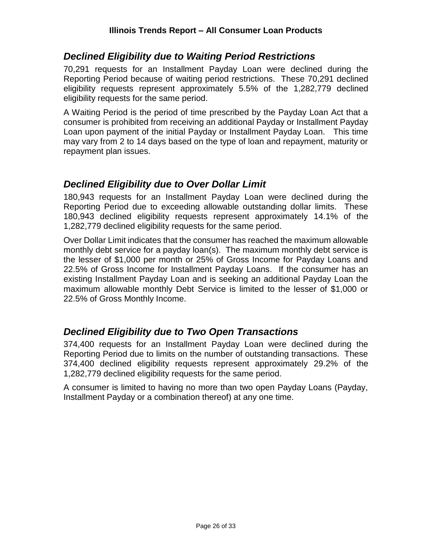#### <span id="page-25-0"></span>*Declined Eligibility due to Waiting Period Restrictions*

70,291 requests for an Installment Payday Loan were declined during the Reporting Period because of waiting period restrictions. These 70,291 declined eligibility requests represent approximately 5.5% of the 1,282,779 declined eligibility requests for the same period.

A Waiting Period is the period of time prescribed by the Payday Loan Act that a consumer is prohibited from receiving an additional Payday or Installment Payday Loan upon payment of the initial Payday or Installment Payday Loan. This time may vary from 2 to 14 days based on the type of loan and repayment, maturity or repayment plan issues.

#### <span id="page-25-1"></span>*Declined Eligibility due to Over Dollar Limit*

180,943 requests for an Installment Payday Loan were declined during the Reporting Period due to exceeding allowable outstanding dollar limits. These 180,943 declined eligibility requests represent approximately 14.1% of the 1,282,779 declined eligibility requests for the same period.

Over Dollar Limit indicates that the consumer has reached the maximum allowable monthly debt service for a payday loan(s). The maximum monthly debt service is the lesser of \$1,000 per month or 25% of Gross Income for Payday Loans and 22.5% of Gross Income for Installment Payday Loans. If the consumer has an existing Installment Payday Loan and is seeking an additional Payday Loan the maximum allowable monthly Debt Service is limited to the lesser of \$1,000 or 22.5% of Gross Monthly Income.

#### <span id="page-25-2"></span>*Declined Eligibility due to Two Open Transactions*

374,400 requests for an Installment Payday Loan were declined during the Reporting Period due to limits on the number of outstanding transactions. These 374,400 declined eligibility requests represent approximately 29.2% of the 1,282,779 declined eligibility requests for the same period.

A consumer is limited to having no more than two open Payday Loans (Payday, Installment Payday or a combination thereof) at any one time.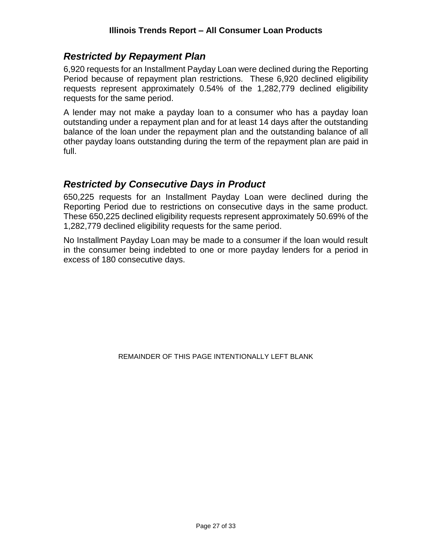#### <span id="page-26-0"></span>*Restricted by Repayment Plan*

6,920 requests for an Installment Payday Loan were declined during the Reporting Period because of repayment plan restrictions. These 6,920 declined eligibility requests represent approximately 0.54% of the 1,282,779 declined eligibility requests for the same period.

A lender may not make a payday loan to a consumer who has a payday loan outstanding under a repayment plan and for at least 14 days after the outstanding balance of the loan under the repayment plan and the outstanding balance of all other payday loans outstanding during the term of the repayment plan are paid in full.

#### <span id="page-26-1"></span>*Restricted by Consecutive Days in Product*

650,225 requests for an Installment Payday Loan were declined during the Reporting Period due to restrictions on consecutive days in the same product. These 650,225 declined eligibility requests represent approximately 50.69% of the 1,282,779 declined eligibility requests for the same period.

No Installment Payday Loan may be made to a consumer if the loan would result in the consumer being indebted to one or more payday lenders for a period in excess of 180 consecutive days.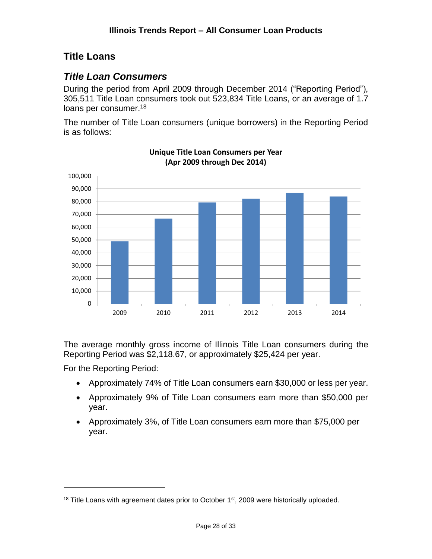## <span id="page-27-0"></span>**Title Loans**

## <span id="page-27-1"></span>*Title Loan Consumers*

During the period from April 2009 through December 2014 ("Reporting Period"), 305,511 Title Loan consumers took out 523,834 Title Loans, or an average of 1.7 loans per consumer.<sup>18</sup>

The number of Title Loan consumers (unique borrowers) in the Reporting Period is as follows:



**Unique Title Loan Consumers per Year (Apr 2009 through Dec 2014)**

The average monthly gross income of Illinois Title Loan consumers during the Reporting Period was \$2,118.67, or approximately \$25,424 per year.

For the Reporting Period:

- Approximately 74% of Title Loan consumers earn \$30,000 or less per year.
- Approximately 9% of Title Loan consumers earn more than \$50,000 per year.
- Approximately 3%, of Title Loan consumers earn more than \$75,000 per year.

 $18$  Title Loans with agreement dates prior to October  $1<sup>st</sup>$ , 2009 were historically uploaded.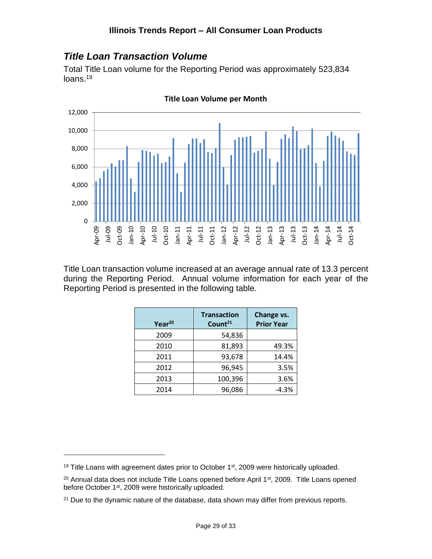## <span id="page-28-0"></span>*Title Loan Transaction Volume*

Total Title Loan volume for the Reporting Period was approximately 523,834 loans.<sup>19</sup>



**Title Loan Volume per Month**

Title Loan transaction volume increased at an average annual rate of 13.3 percent during the Reporting Period. Annual volume information for each year of the Reporting Period is presented in the following table.

| Year <sup>20</sup> | <b>Transaction</b><br>Count <sup>21</sup> | Change vs.<br><b>Prior Year</b> |  |
|--------------------|-------------------------------------------|---------------------------------|--|
| 2009               | 54,836                                    |                                 |  |
| 2010               | 81,893                                    | 49.3%                           |  |
| 2011               | 93,678                                    | 14.4%                           |  |
| 2012               | 96,945                                    | 3.5%                            |  |
| 2013               | 100,396                                   | 3.6%                            |  |
| 2014               | 96,086                                    | $-4.3%$                         |  |

 $19$  Title Loans with agreement dates prior to October  $1<sup>st</sup>$ , 2009 were historically uploaded.

<sup>&</sup>lt;sup>20</sup> Annual data does not include Title Loans opened before April 1<sup>st</sup>, 2009. Title Loans opened before October 1<sup>st</sup>, 2009 were historically uploaded.

<sup>&</sup>lt;sup>21</sup> Due to the dynamic nature of the database, data shown may differ from previous reports.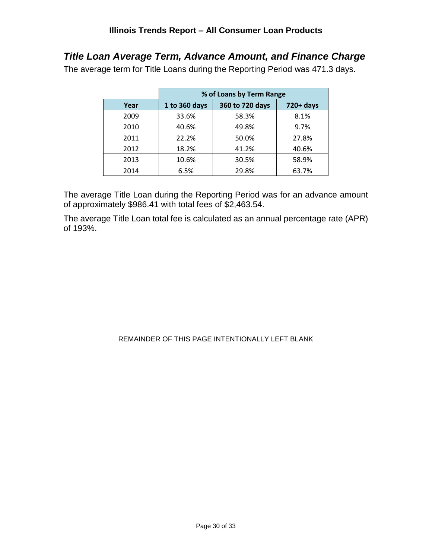## <span id="page-29-0"></span>*Title Loan Average Term, Advance Amount, and Finance Charge*

The average term for Title Loans during the Reporting Period was 471.3 days.

|      | % of Loans by Term Range |                 |              |
|------|--------------------------|-----------------|--------------|
| Year | 1 to 360 days            | 360 to 720 days | $720 + days$ |
| 2009 | 33.6%                    | 58.3%           | 8.1%         |
| 2010 | 40.6%                    | 49.8%           | 9.7%         |
| 2011 | 22.2%                    | 50.0%           | 27.8%        |
| 2012 | 18.2%                    | 41.2%           | 40.6%        |
| 2013 | 10.6%                    | 30.5%           | 58.9%        |
| 2014 | 6.5%                     | 29.8%           | 63.7%        |

The average Title Loan during the Reporting Period was for an advance amount of approximately \$986.41 with total fees of \$2,463.54.

The average Title Loan total fee is calculated as an annual percentage rate (APR) of 193%.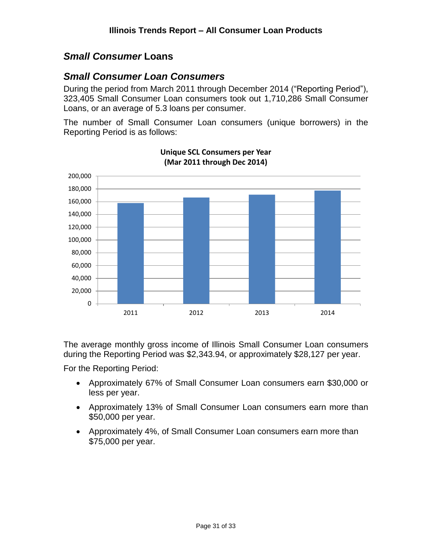#### <span id="page-30-0"></span>*Small Consumer* **Loans**

#### <span id="page-30-1"></span>*Small Consumer Loan Consumers*

During the period from March 2011 through December 2014 ("Reporting Period"), 323,405 Small Consumer Loan consumers took out 1,710,286 Small Consumer Loans, or an average of 5.3 loans per consumer.

The number of Small Consumer Loan consumers (unique borrowers) in the Reporting Period is as follows:



**Unique SCL Consumers per Year (Mar 2011 through Dec 2014)**

The average monthly gross income of Illinois Small Consumer Loan consumers during the Reporting Period was \$2,343.94, or approximately \$28,127 per year.

For the Reporting Period:

- Approximately 67% of Small Consumer Loan consumers earn \$30,000 or less per year.
- Approximately 13% of Small Consumer Loan consumers earn more than \$50,000 per year.
- Approximately 4%, of Small Consumer Loan consumers earn more than \$75,000 per year.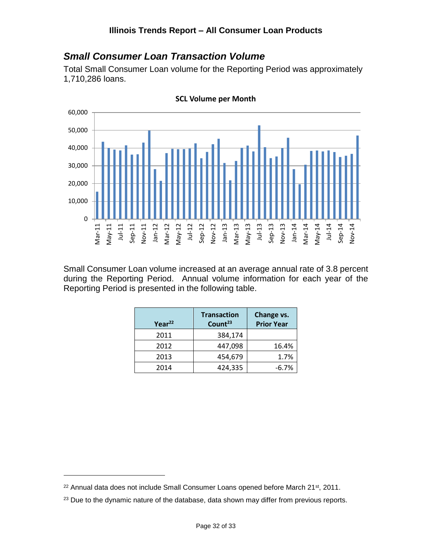#### <span id="page-31-0"></span>*Small Consumer Loan Transaction Volume*

Total Small Consumer Loan volume for the Reporting Period was approximately 1,710,286 loans.



**SCL Volume per Month**

Small Consumer Loan volume increased at an average annual rate of 3.8 percent during the Reporting Period. Annual volume information for each year of the Reporting Period is presented in the following table.

| Year <sup>22</sup> | <b>Transaction</b><br>Count <sup>23</sup> | Change vs.<br><b>Prior Year</b> |
|--------------------|-------------------------------------------|---------------------------------|
| 2011               | 384,174                                   |                                 |
| 2012               | 447,098                                   | 16.4%                           |
| 2013               | 454,679                                   | 1.7%                            |
| 2014               | 424,335                                   | $-6.7%$                         |
|                    |                                           |                                 |

<sup>&</sup>lt;sup>22</sup> Annual data does not include Small Consumer Loans opened before March 21<sup>st</sup>, 2011.

<sup>&</sup>lt;sup>23</sup> Due to the dynamic nature of the database, data shown may differ from previous reports.